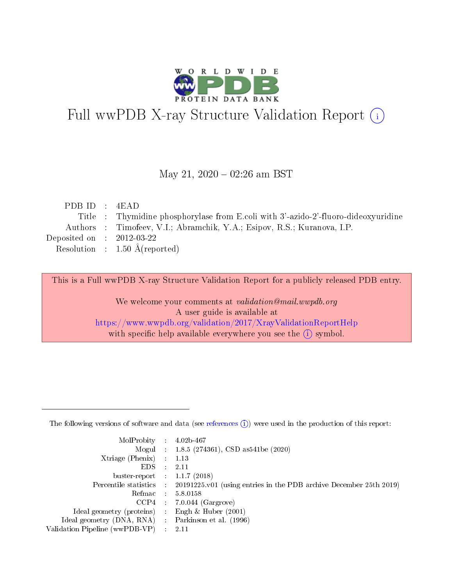

# Full wwPDB X-ray Structure Validation Report (i)

#### May 21,  $2020 - 02:26$  am BST

| PDBID : 4EAD                |                                                                                    |
|-----------------------------|------------------------------------------------------------------------------------|
|                             | Title : Thymidine phosphorylase from E.coli with 3'-azido-2'-fluoro-dideoxyuridine |
|                             | Authors : Timofeev, V.I.; Abramchik, Y.A.; Esipov, R.S.; Kuranova, I.P.            |
| Deposited on : $2012-03-22$ |                                                                                    |
|                             | Resolution : $1.50 \text{ Å}$ (reported)                                           |
|                             |                                                                                    |

This is a Full wwPDB X-ray Structure Validation Report for a publicly released PDB entry.

We welcome your comments at validation@mail.wwpdb.org A user guide is available at <https://www.wwpdb.org/validation/2017/XrayValidationReportHelp> with specific help available everywhere you see the  $(i)$  symbol.

The following versions of software and data (see [references](https://www.wwpdb.org/validation/2017/XrayValidationReportHelp#references)  $(1)$ ) were used in the production of this report:

| $MolProbability$ 4.02b-467                        |               |                                                                                            |
|---------------------------------------------------|---------------|--------------------------------------------------------------------------------------------|
|                                                   |               | Mogul : $1.8.5$ (274361), CSD as 541be (2020)                                              |
| $X$ triage (Phenix) : 1.13                        |               |                                                                                            |
| EDS                                               | $\mathcal{L}$ | 2.11                                                                                       |
| buster-report : $1.1.7$ (2018)                    |               |                                                                                            |
|                                                   |               | Percentile statistics : 20191225.v01 (using entries in the PDB archive December 25th 2019) |
| Refmac $5.8.0158$                                 |               |                                                                                            |
|                                                   |               | $CCP4$ 7.0.044 (Gargrove)                                                                  |
| Ideal geometry (proteins) :                       |               | Engh $\&$ Huber (2001)                                                                     |
| Ideal geometry (DNA, RNA) Parkinson et al. (1996) |               |                                                                                            |
| Validation Pipeline (wwPDB-VP) : 2.11             |               |                                                                                            |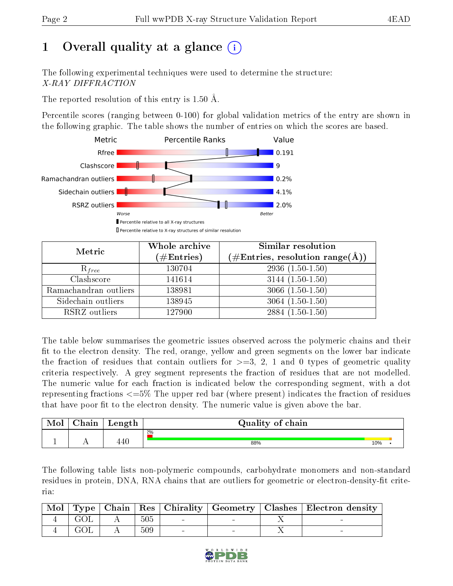# 1 [O](https://www.wwpdb.org/validation/2017/XrayValidationReportHelp#overall_quality)verall quality at a glance  $(i)$

The following experimental techniques were used to determine the structure: X-RAY DIFFRACTION

The reported resolution of this entry is 1.50 Å.

Percentile scores (ranging between 0-100) for global validation metrics of the entry are shown in the following graphic. The table shows the number of entries on which the scores are based.



| Metric                | Whole archive<br>$(\#\mathrm{Entries})$ | <b>Similar resolution</b><br>$(\#\text{Entries}, \, \text{resolution range}(\textup{\AA}))$ |
|-----------------------|-----------------------------------------|---------------------------------------------------------------------------------------------|
| $R_{free}$            | 130704                                  | $2936(1.50-1.50)$                                                                           |
| Clashscore            | 141614                                  | $3144(1.50-1.50)$                                                                           |
| Ramachandran outliers | 138981                                  | $3066(1.50-1.50)$                                                                           |
| Sidechain outliers    | 138945                                  | $3064(1.50-1.50)$                                                                           |
| RSRZ outliers         | 127900                                  | $2884(1.50-1.50)$                                                                           |

The table below summarises the geometric issues observed across the polymeric chains and their fit to the electron density. The red, orange, yellow and green segments on the lower bar indicate the fraction of residues that contain outliers for  $>=3, 2, 1$  and 0 types of geometric quality criteria respectively. A grey segment represents the fraction of residues that are not modelled. The numeric value for each fraction is indicated below the corresponding segment, with a dot representing fractions <=5% The upper red bar (where present) indicates the fraction of residues that have poor fit to the electron density. The numeric value is given above the bar.

| <b>NIOI</b> | --<br>. n i n<br>паш | $\mu$ ength <sup><math>\pm</math></sup> | Quality of<br>chain |     |  |
|-------------|----------------------|-----------------------------------------|---------------------|-----|--|
|             |                      |                                         | 2%                  |     |  |
| -           | . .                  | 440                                     | 88%                 | 10% |  |

The following table lists non-polymeric compounds, carbohydrate monomers and non-standard residues in protein, DNA, RNA chains that are outliers for geometric or electron-density-fit criteria:

|     |     |  | Mol   Type   Chain   Res   Chirality   Geometry   Clashes   Electron density |
|-----|-----|--|------------------------------------------------------------------------------|
| GOL | 505 |  |                                                                              |
| GOL | 509 |  |                                                                              |

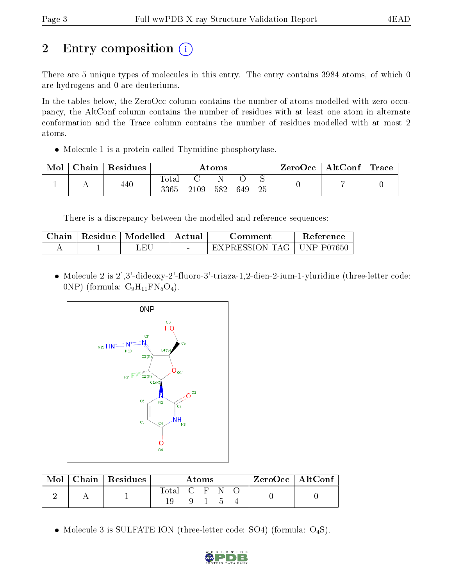# 2 Entry composition  $\left( \cdot \right)$

There are 5 unique types of molecules in this entry. The entry contains 3984 atoms, of which 0 are hydrogens and 0 are deuteriums.

In the tables below, the ZeroOcc column contains the number of atoms modelled with zero occupancy, the AltConf column contains the number of residues with at least one atom in alternate conformation and the Trace column contains the number of residues modelled with at most 2 atoms.

• Molecule 1 is a protein called Thymidine phosphorylase.

| Mol | Chain | Residues | Atoms               |      |     | ZeroOcc | $\mid$ AltConf $\mid$ Trace |  |  |  |
|-----|-------|----------|---------------------|------|-----|---------|-----------------------------|--|--|--|
|     |       | 440      | $\rm Total$<br>3365 | 2109 | 582 | 649     | 25                          |  |  |  |

There is a discrepancy between the modelled and reference sequences:

| ∴hain | Residue | Modelled | – Actual | . :omment.                  | Reference |
|-------|---------|----------|----------|-----------------------------|-----------|
|       |         | ЕH       | $\sim$   | TAG.<br>EXPRESSION <b>F</b> | NP P07650 |

 Molecule 2 is 2',3'-dideoxy-2'-fluoro-3'-triaza-1,2-dien-2-ium-1-yluridine (three-letter code:  $0NP)$  (formula:  $C_9H_{11}FN_5O_4$ ).



| Mol | $\,$ Chain   Residues | Atoms         |  |  | ZeroOcc   AltConf |  |
|-----|-----------------------|---------------|--|--|-------------------|--|
|     |                       | Total C F N O |  |  |                   |  |
|     |                       |               |  |  |                   |  |

• Molecule 3 is SULFATE ION (three-letter code: SO4) (formula:  $O_4S$ ).

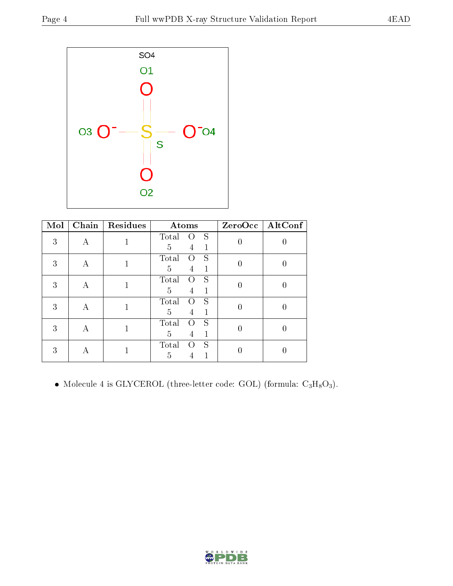

| Mol | Chain | <b>Residues</b> | Atoms                            |          | ZeroOcc   AltConf |
|-----|-------|-----------------|----------------------------------|----------|-------------------|
| 3   | А     |                 | Total<br>S<br>( )                |          |                   |
|     |       |                 | 5<br>4                           |          |                   |
| 3   | А     |                 | S<br>Total<br>$\left( \ \right)$ | 0        |                   |
|     |       |                 | 5<br>1<br>$\overline{4}$         |          |                   |
| 3   | А     |                 | Total<br>S<br>$\left( \right)$   |          |                   |
|     |       |                 | 5<br>4                           |          |                   |
| 3   | А     |                 | S<br>Total<br>0                  |          |                   |
|     |       |                 | 5<br>4                           |          |                   |
| 3   | А     |                 | S<br>Total<br>$\left( \right)$   | $\theta$ |                   |
|     |       |                 | 5<br>1<br>4                      |          |                   |
| 3   |       |                 | S<br>Total<br>$\left( \ \right)$ |          |                   |
|     | А     |                 | 5                                |          |                   |

 $\bullet$  Molecule 4 is GLYCEROL (three-letter code: GOL) (formula:  $\rm{C_3H_8O_3}).$ 

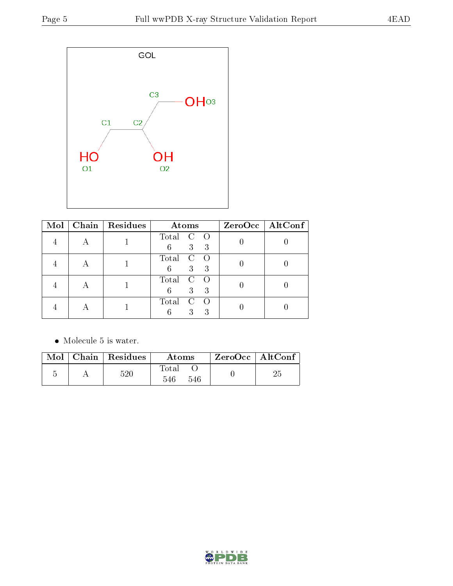

| Mol |   | Chain   Residues | Atoms                                               | $ZeroOcc$   AltConf |
|-----|---|------------------|-----------------------------------------------------|---------------------|
|     |   |                  | Total<br>$\mathbf{C}$<br>$\bigcirc$<br>3<br>6<br>-3 |                     |
|     | Α |                  | Total<br>$\mathcal{C}$<br>3<br>6<br>-3              |                     |
|     |   |                  | Total<br>C<br>3<br>6<br>3                           |                     |
|     |   |                  | Total<br>C<br>3<br>3<br>6                           |                     |

• Molecule 5 is water.

|  | $\blacksquare$ Mol $\parallel$ Chain $\parallel$ Residues $\parallel$ | Atoms               | $\mid$ ZeroOcc $\mid$ AltConf $\mid$ |  |
|--|-----------------------------------------------------------------------|---------------------|--------------------------------------|--|
|  | 520                                                                   | Total<br>546<br>546 |                                      |  |

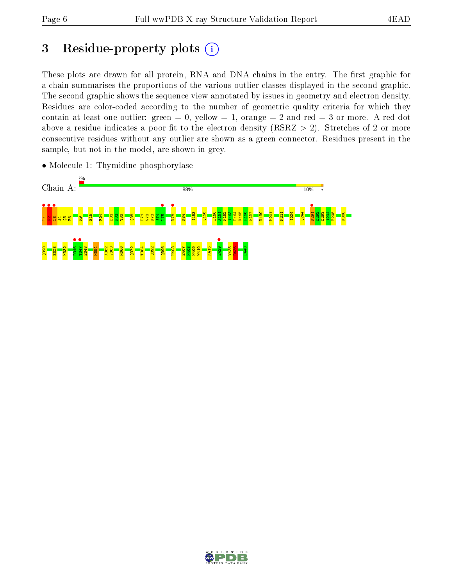# 3 Residue-property plots  $(i)$

These plots are drawn for all protein, RNA and DNA chains in the entry. The first graphic for a chain summarises the proportions of the various outlier classes displayed in the second graphic. The second graphic shows the sequence view annotated by issues in geometry and electron density. Residues are color-coded according to the number of geometric quality criteria for which they contain at least one outlier: green  $= 0$ , yellow  $= 1$ , orange  $= 2$  and red  $= 3$  or more. A red dot above a residue indicates a poor fit to the electron density (RSRZ  $> 2$ ). Stretches of 2 or more consecutive residues without any outlier are shown as a green connector. Residues present in the sample, but not in the model, are shown in grey.



• Molecule 1: Thymidine phosphorylase

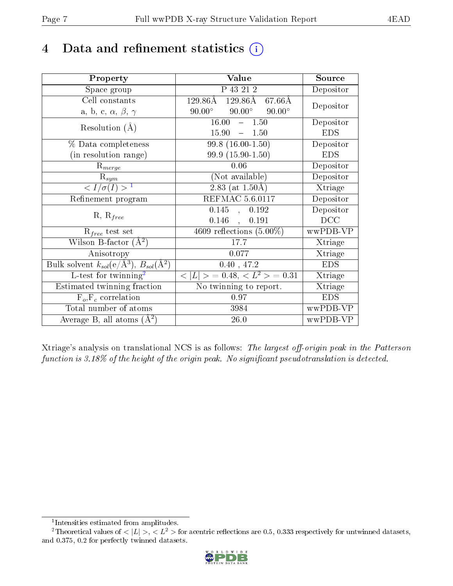## 4 Data and refinement statistics  $(i)$

| Property                                                         | Value                                             | Source     |
|------------------------------------------------------------------|---------------------------------------------------|------------|
| Space group                                                      | P 43 21 2                                         | Depositor  |
| Cell constants                                                   | $129.86\text{\AA}$<br>$129.86\text{\AA}$ 67.66 Å  | Depositor  |
| a, b, c, $\alpha$ , $\beta$ , $\gamma$                           | $90.00^\circ$<br>$90.00^{\circ}$<br>$90.00^\circ$ |            |
| Resolution $(A)$                                                 | 16.00<br>$-1.50$                                  | Depositor  |
|                                                                  | 15.90<br>$-1.50$                                  | <b>EDS</b> |
| $\%$ Data completeness                                           | $99.8(16.00-1.50)$                                | Depositor  |
| (in resolution range)                                            | 99.9 (15.90-1.50)                                 | <b>EDS</b> |
| $R_{merge}$                                                      | 0.06                                              | Depositor  |
| $\mathrm{R}_{sym}$                                               | (Not available)                                   | Depositor  |
| $\langle I/\sigma(I) \rangle^{-1}$                               | $2.83$ (at 1.50Å)                                 | Xtriage    |
| Refinement program                                               | <b>REFMAC 5.6.0117</b>                            | Depositor  |
|                                                                  | 0.145,<br>0.192                                   | Depositor  |
| $R, R_{free}$                                                    | 0.146<br>0.191                                    | DCC        |
| $R_{free}$ test set                                              | 4609 reflections $(5.00\%)$                       | wwPDB-VP   |
| Wilson B-factor $(A^2)$                                          | 17.7                                              | Xtriage    |
| Anisotropy                                                       | 0.077                                             | Xtriage    |
| Bulk solvent $k_{sol}(\text{e}/\text{A}^3), B_{sol}(\text{A}^2)$ | 0.40, 47.2                                        | <b>EDS</b> |
| L-test for $\mathrm{twinning}^2$                                 | $< L >$ = 0.48, $< L2 >$ = 0.31                   | Xtriage    |
| Estimated twinning fraction                                      | No twinning to report.                            | Xtriage    |
| $\overline{F_o}, \overline{F_c}$ correlation                     | 0.97                                              | <b>EDS</b> |
| Total number of atoms                                            | 3984                                              | wwPDB-VP   |
| Average B, all atoms $(A^2)$                                     | $26.0\,$                                          | wwPDB-VP   |

Xtriage's analysis on translational NCS is as follows: The largest off-origin peak in the Patterson function is  $3.18\%$  of the height of the origin peak. No significant pseudotranslation is detected.

<sup>&</sup>lt;sup>2</sup>Theoretical values of  $\langle |L| \rangle$ ,  $\langle L^2 \rangle$  for acentric reflections are 0.5, 0.333 respectively for untwinned datasets, and 0.375, 0.2 for perfectly twinned datasets.



<span id="page-6-1"></span><span id="page-6-0"></span><sup>1</sup> Intensities estimated from amplitudes.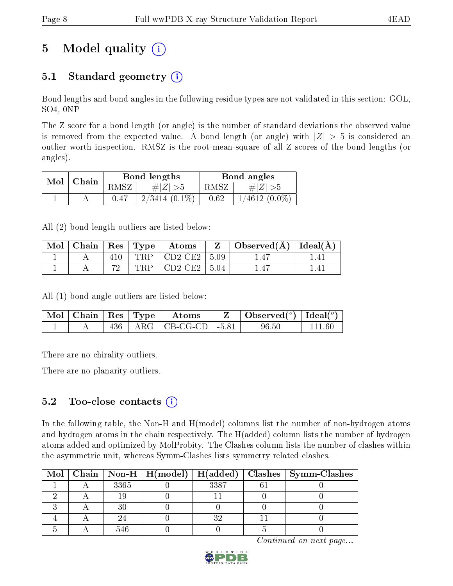# 5 Model quality  $(i)$

### 5.1 Standard geometry  $(i)$

Bond lengths and bond angles in the following residue types are not validated in this section: GOL, SO4, 0NP

The Z score for a bond length (or angle) is the number of standard deviations the observed value is removed from the expected value. A bond length (or angle) with  $|Z| > 5$  is considered an outlier worth inspection. RMSZ is the root-mean-square of all Z scores of the bond lengths (or angles).

| $\mid$ Chain |  | Bond lengths |                 | Bond angles |                 |
|--------------|--|--------------|-----------------|-------------|-----------------|
| Mol          |  | RMSZ         | $\# Z  > 5$     | RMSZ        | # $ Z  > 5$     |
|              |  |              | $2/3414(0.1\%)$ | 0.62        | $1/4612(0.0\%)$ |

All (2) bond length outliers are listed below:

| Mol | Chain   Res   Type |     | $\boldsymbol{\mathrm{Atoms}}$ |      | Observed $(\AA)$ | $\pm$ Ideal( $\rm \AA$ ) <sup><math>\pm</math></sup> |
|-----|--------------------|-----|-------------------------------|------|------------------|------------------------------------------------------|
|     |                    | TRP | $\pm$ CD2-CE2 $\pm$           | 5.09 |                  |                                                      |
|     |                    | TRD | $CD2-CE2$                     | 5.04 |                  |                                                      |

All (1) bond angle outliers are listed below:

| $\blacksquare$ Mol $\vert$ Chain $\vert$ Res $\vert$ Type $\vert$ |     | Atoms                                      | Observed( $^{\circ}$ )   Ideal( $^{\circ}$ ) |  |
|-------------------------------------------------------------------|-----|--------------------------------------------|----------------------------------------------|--|
|                                                                   | 436 | $\vert$ ARG $\vert$ CB-CG-CD $\vert$ -5.81 | $96.50\,$                                    |  |

There are no chirality outliers.

There are no planarity outliers.

### 5.2 Too-close contacts  $(i)$

In the following table, the Non-H and H(model) columns list the number of non-hydrogen atoms and hydrogen atoms in the chain respectively. The H(added) column lists the number of hydrogen atoms added and optimized by MolProbity. The Clashes column lists the number of clashes within the asymmetric unit, whereas Symm-Clashes lists symmetry related clashes.

|  |      |      | Mol   Chain   Non-H   H(model)   H(added)   Clashes   Symm-Clashes |
|--|------|------|--------------------------------------------------------------------|
|  | 3365 | 3387 |                                                                    |
|  |      |      |                                                                    |
|  |      |      |                                                                    |
|  |      |      |                                                                    |
|  |      |      |                                                                    |

Continued on next page...

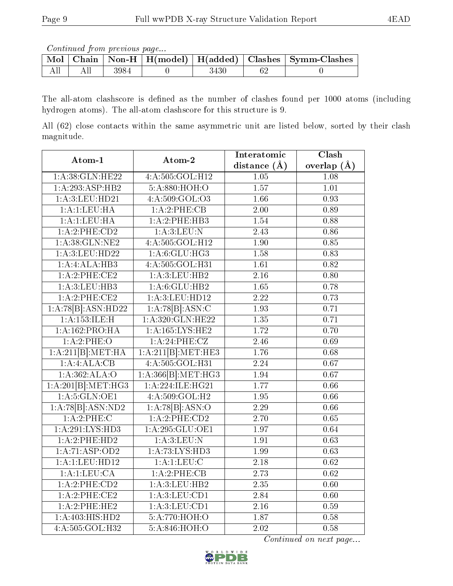Continued from previous page...

|  |      |  | Mol   Chain   Non-H   H(model)   H(added)   Clashes   Symm-Clashes |
|--|------|--|--------------------------------------------------------------------|
|  | 3984 |  |                                                                    |

The all-atom clashscore is defined as the number of clashes found per 1000 atoms (including hydrogen atoms). The all-atom clashscore for this structure is 9.

All (62) close contacts within the same asymmetric unit are listed below, sorted by their clash magnitude.

| Atom-1             | Atom-2                       | Interatomic       | $\overline{\text{Clash}}$ |
|--------------------|------------------------------|-------------------|---------------------------|
|                    |                              | distance $(A)$    | overlap $(\AA)$           |
| 1: A:38: GLN: HE22 | 4: A:505: GOL: H12           | 1.05              | 1.08                      |
| 1:A:293:ASP:HB2    | 5:A:880:HOH:O                | 1.57              | $\overline{1.01}$         |
| 1:A:3:LEU:HD21     | 4: A: 509: GOL: O3           | 1.66              | 0.93                      |
| 1:A:1:LEU:HA       | 1:A:2:PHE:CB                 | $\overline{2.00}$ | 0.89                      |
| 1:A:1:LEU:HA       | 1:A:2:PHE:HB3                | 1.54              | 0.88                      |
| 1:A:2:PHE:CD2      | 1: A:3: LEU: N               | 2.43              | 0.86                      |
| 1: A:38: GLN: NE2  | 4:A:505:GOL:H12              | 1.90              | 0.85                      |
| 1:A:3:LEU:HD22     | 1: A:6: GLU: HG3             | 1.58              | 0.83                      |
| 1:A:4:ALA:HB3      | 4:A:505:GOL:H31              | 1.61              | 0.82                      |
| 1:A:2:PHE:CE2      | 1:A:3:LEU:HB2                | $\overline{2.16}$ | $\overline{0.80}$         |
| 1: A:3: LEU: HB3   | 1: A:6: GLU: HB2             | $\overline{1.65}$ | 0.78                      |
| 1:A:2:PHE:CE2      | $1:$ A:3:LEU:HD12            | $\overline{2.22}$ | 0.73                      |
| 1:A:78[B]:ASN:HD22 | $1:A:\overline{78 B :ASN:C}$ | $\overline{1.93}$ | 0.71                      |
| 1:A:153:ILE:H      | 1: A:320: GLN: HE22          | $\overline{1.35}$ | 0.71                      |
| 1:A:162:PRO:HA     | 1:A:165:LYS:HE2              | 1.72              | 0.70                      |
| 1:A:2:PHE:O        | 1:A:24:PHE:CZ                | 2.46              | 0.69                      |
| 1:A:211[B]:MET:HA  | 1:A:211[B]:MET:HE3           | 1.76              | 0.68                      |
| 1:A:ALA:CB         | 4: A: 505: GOL: H31          | $\overline{2.24}$ | 0.67                      |
| 1: A: 362: ALA: O  | 1:A:366[B]: MET:HG3          | 1.94              | 0.67                      |
| 1:A:201[B]:MET:HG3 | 1:A:224:ILE:HG21             | 1.77              | 0.66                      |
| 1: A:5: GLN:OE1    | 4:A:509:GOL:H2               | $\overline{1.95}$ | 0.66                      |
| 1:A:78[B]:ASN:ND2  | 1:A:78[B]:ASN:O              | 2.29              | 0.66                      |
| 1:A:2:PHE:C        | 1:A:2:PHE:CD2                | $\overline{2.70}$ | 0.65                      |
| 1:A:291:LYS:HD3    | 1:A:295:GLU:OE1              | 1.97              | 0.64                      |
| 1:A:2:PHE:HD2      | 1: A:3: LEU: N               | 1.91              | 0.63                      |
| 1:A:71:ASP:OD2     | 1:A:73:LYS:HD3               | 1.99              | 0.63                      |
| 1:A:1:LEU:HD12     | 1:A:1:LEU:C                  | 2.18              | 0.62                      |
| 1:A:1:LEU:CA       | 1:A:2:PHE:CB                 | 2.73              | 0.62                      |
| 1:A:2:PHE:CD2      | 1:A:3:LEU:HB2                | 2.35              | 0.60                      |
| 1:A:2:PHE:CE2      | 1: A:3: LEU: CD1             | 2.84              | 0.60                      |
| 1:A:2:PHE:HE2      | 1:A:3:LEU:CD1                | 2.16              | 0.59                      |
| 1:A:403:HIS:HD2    | 5:A:770:HOH:O                | 1.87              | 0.58                      |
| 4:A:505:GOL:H32    | 5: A:846:HOH:O               | $\overline{2.02}$ | 0.58                      |

Continued on next page...

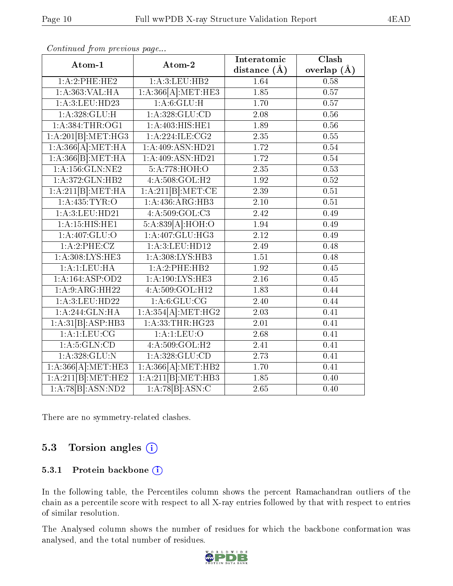| Atom-1                | Atom-2             | Interatomic       | Clash             |
|-----------------------|--------------------|-------------------|-------------------|
|                       |                    | distance $(A)$    | overlap $(\AA)$   |
| 1:A:2:PHE:HE2         | 1:A:3:LEU:HB2      | 1.64              | $0.\overline{58}$ |
| 1:A:363:VAL:HA        | 1:A:366[A]:MET:HE3 | 1.85              | 0.57              |
| 1:A:3:LEU:HD23        | 1:A:6:GLU:H        | 1.70              | $\overline{0.57}$ |
| 1: A:328: GLU: H      | 1:A:328:GLU:CD     | $\overline{2}.08$ | 0.56              |
| 1:A:384:THR:OG1       | 1:A:403:HIS:HE1    | 1.89              | 0.56              |
| 1:A:201[B]:MET:HG3    | 1: A:224: ILE: CG2 | $\overline{2.35}$ | 0.55              |
| 1:A:366[A]:MET:HA     | 1:A:409:ASN:HD21   | 1.72              | 0.54              |
| 1:A:366[B]:MET:HA     | 1:A:409:ASN:HD21   | 1.72              | 0.54              |
| $1:$ A:156: $GLN:NE2$ | 5: A:778:HOH:O     | 2.35              | 0.53              |
| 1: A:372: GLN: HB2    | 4:A:508:GOL:H2     | 1.92              | 0.52              |
| 1:A:211[B]:MET:HA     | 1:A:211[B]:MET:CE  | 2.39              | 0.51              |
| 1: A: 435: TYR: O     | 1:A:436:ARG:HB3    | 2.10              | 0.51              |
| 1:A:3:LEU:HD21        | 4: A:509: GOL: C3  | 2.42              | 0.49              |
| 1: A:15: HIS: HE1     | 5:A:839[A]:HOH:O   | 1.94              | 0.49              |
| 1:A:407:GLU:O         | 1: A:407: GLU:HG3  | 2.12              | 0.49              |
| 1:A:2:PHE:CZ          | 1: A:3: LEU: HD12  | 2.49              | 0.48              |
| 1:A:308:LYS:HE3       | 1:A:308:LYS:HB3    | 1.51              | 0.48              |
| 1:A:1:EU:HA           | 1:A:2:PHE:HB2      | 1.92              | 0.45              |
| 1:A:164:ASP:OD2       | 1: A:190: LYS: HE3 | 2.16              | $0.45\,$          |
| 1:A:9:ARG:HH22        | 4:A:509:GOL:H12    | 1.83              | 0.44              |
| 1: A:3: LEU: HD22     | 1: A:6: GLU:CG     | $\overline{2.40}$ | 0.44              |
| 1:A:244:GLN:HA        | 1:A:354[A]:MET:HG2 | 2.03              | 0.41              |
| 1:A:31[B]:ASP:HB3     | 1: A:33:THR:HG23   | 2.01              | 0.41              |
| $1:$ A:1:LEU:CG       | 1: A:1:LEV:O       | 2.68              | 0.41              |
| 1: A:5: GLN:CD        | 4:A:509:GOL:H2     | 2.41              | 0.41              |
| 1: A: 328: GLU:N      | 1: A:328: GLU:CD   | $\overline{2.73}$ | 0.41              |
| 1:A:366[A]:MET:HE3    | 1:A:366[A]:MET:HB2 | 1.70              | 0.41              |
| 1:A:211[B]:MET:HE2    | 1:A:211[B]:MET:HB3 | 1.85              | 0.40              |
| 1:A:78[B]:ASN:ND2     | 1:A:78[B]:ASN:C    | 2.65              | 0.40              |

Continued from previous page...

There are no symmetry-related clashes.

### 5.3 Torsion angles (i)

#### 5.3.1 Protein backbone (i)

In the following table, the Percentiles column shows the percent Ramachandran outliers of the chain as a percentile score with respect to all X-ray entries followed by that with respect to entries of similar resolution.

The Analysed column shows the number of residues for which the backbone conformation was analysed, and the total number of residues.



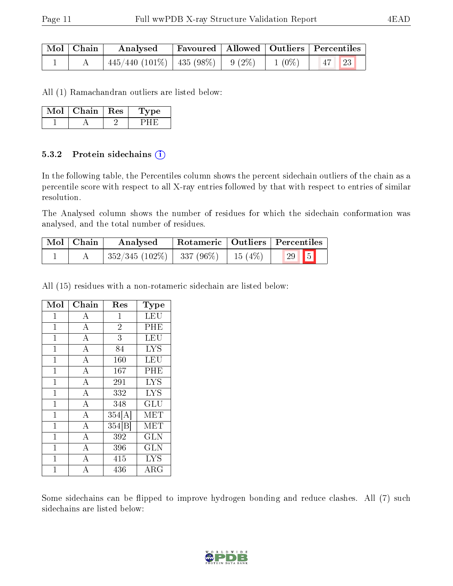| $\mid$ Mol $\mid$ Chain $\mid$ | Analysed                                 |  |          | Favoured   Allowed   Outliers   Percentiles |
|--------------------------------|------------------------------------------|--|----------|---------------------------------------------|
|                                | $445/440$ (101\%)   435 (98\%)   9 (2\%) |  | $1(0\%)$ | $47$ 23                                     |

All (1) Ramachandran outliers are listed below:

| vlot | Chain- | $\parallel$ Res | ype |
|------|--------|-----------------|-----|
|      |        |                 |     |

#### 5.3.2 Protein sidechains  $(i)$

In the following table, the Percentiles column shows the percent sidechain outliers of the chain as a percentile score with respect to all X-ray entries followed by that with respect to entries of similar resolution.

The Analysed column shows the number of residues for which the sidechain conformation was analysed, and the total number of residues.

| Mol   Chain | Analysed                    |           | Rotameric   Outliers   Percentiles |
|-------------|-----------------------------|-----------|------------------------------------|
|             | $352/345(102\%)$ 337 (96\%) | 15 $(4%)$ |                                    |

All (15) residues with a non-rotameric sidechain are listed below:

| Mol            | Chain              | Res            | Type       |
|----------------|--------------------|----------------|------------|
| $\mathbf{1}$   | $\boldsymbol{A}$   | $\mathbf{1}$   | LEU        |
| $\mathbf 1$    | $\bf{A}$           | $\overline{2}$ | PHE        |
| $\mathbf 1$    | $\overline{A}$     | 3              | LEU        |
| $\mathbf{1}$   | $\overline{\rm A}$ | 84             | <b>LYS</b> |
| $\mathbf{1}$   | $\overline{\rm A}$ | 160            | LEU        |
| $\overline{1}$ | $\overline{\rm A}$ | 167            | PHE        |
| $\mathbf{1}$   | $\overline{\rm A}$ | 291            | <b>LYS</b> |
| $\overline{1}$ | $\overline{\rm A}$ | 332            | <b>LYS</b> |
| $\overline{1}$ | $\overline{\rm A}$ | 348            | GLU        |
| $\mathbf{1}$   | $\mathbf{A}$       | 354[A]         | MET        |
| $\overline{1}$ | $\overline{\rm A}$ | 354 B          | MET        |
| $\mathbf 1$    | $\overline{\rm A}$ | 392            | GLN        |
| $\mathbf 1$    | A                  | 396            | <b>GLN</b> |
| $\mathbf 1$    | $\overline{A}$     | 415            | <b>LYS</b> |
| 1              | A                  | 436            | $\rm{ARG}$ |

Some sidechains can be flipped to improve hydrogen bonding and reduce clashes. All (7) such sidechains are listed below:

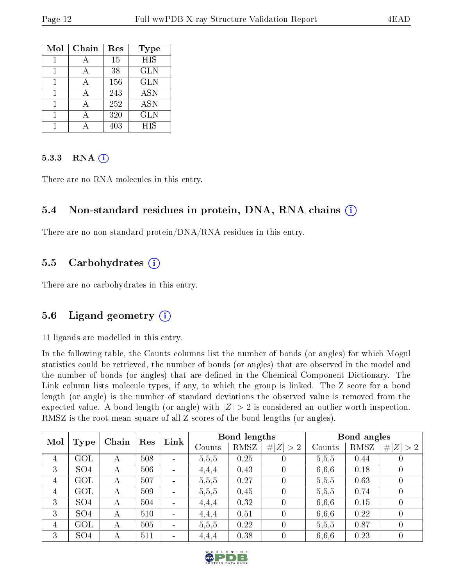| Mol | Chain | Res | <b>Type</b> |
|-----|-------|-----|-------------|
|     |       | 15  | <b>HIS</b>  |
|     |       | 38  | <b>GLN</b>  |
|     |       | 156 | <b>GLN</b>  |
|     | А     | 243 | <b>ASN</b>  |
|     |       | 252 | <b>ASN</b>  |
|     |       | 320 | <b>GLN</b>  |
|     |       | 403 | <b>HIS</b>  |

#### 5.3.3 RNA (i)

There are no RNA molecules in this entry.

#### 5.4 Non-standard residues in protein, DNA, RNA chains (i)

There are no non-standard protein/DNA/RNA residues in this entry.

#### 5.5 Carbohydrates  $(i)$

There are no carbohydrates in this entry.

### 5.6 Ligand geometry (i)

11 ligands are modelled in this entry.

In the following table, the Counts columns list the number of bonds (or angles) for which Mogul statistics could be retrieved, the number of bonds (or angles) that are observed in the model and the number of bonds (or angles) that are defined in the Chemical Component Dictionary. The Link column lists molecule types, if any, to which the group is linked. The Z score for a bond length (or angle) is the number of standard deviations the observed value is removed from the expected value. A bond length (or angle) with  $|Z| > 2$  is considered an outlier worth inspection. RMSZ is the root-mean-square of all Z scores of the bond lengths (or angles).

| Mol            | Type            | Chain | Res | Link   |       | Bond lengths |        | Bond angles |            |                  |
|----------------|-----------------|-------|-----|--------|-------|--------------|--------|-------------|------------|------------------|
|                |                 |       |     | Counts | RMSZ  | # $ Z  > 2$  | Counts | RMSZ        | H  Z   > 2 |                  |
| $\overline{4}$ | GOL             | А     | 508 |        | 5,5,5 | 0.25         |        | 5,5,5       | 0.44       |                  |
| 3              | SO <sub>4</sub> | А     | 506 |        | 4,4,4 | 0.43         |        | 6,6,6       | 0.18       |                  |
| 4              | GOL             | А     | 507 |        | 5,5,5 | 0.27         |        | 5,5,5       | 0.63       | $\theta$         |
| 4              | GOL             | А     | 509 |        | 5,5,5 | 0.45         |        | 5,5,5       | 0.74       | $\theta$         |
| 3              | SO <sub>4</sub> | А     | 504 |        | 4,4,4 | 0.32         |        | 6,6,6       | 0.15       | $\left( \right)$ |
| 3              | SO <sub>4</sub> | А     | 510 |        | 4,4,4 | 0.51         |        | 6,6,6       | 0.22       | $\left( \right)$ |
| 4              | GOL             | А     | 505 |        | 5,5,5 | 0.22         |        | 5,5,5       | 0.87       | $\theta$         |
| 3              | SO <sub>4</sub> | А     | 511 |        | 4,4,4 | 0.38         |        | 6,6,6       | 0.23       | $\theta$         |

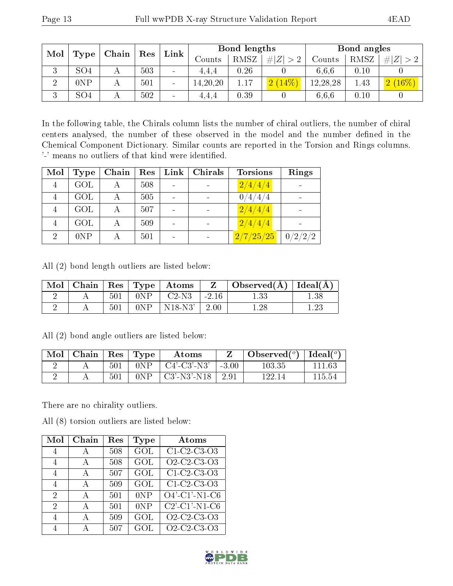| Mol      |                 | Chain | Res | Link                     |            | Bond lengths |             |          | Bond angles |               |  |
|----------|-----------------|-------|-----|--------------------------|------------|--------------|-------------|----------|-------------|---------------|--|
|          | Type            |       |     |                          | Counts     | RMSZ         | # $ Z  > 2$ | Counts   | RMSZ        | Z <br>#       |  |
| ਹ        | SO <sub>4</sub> |       | 503 |                          | 4.4.4      | 0.26         |             | 6.6.6    | 0.10        |               |  |
| $\Omega$ | 0NP             |       | 501 | $\overline{\phantom{a}}$ | 14, 20, 20 | 1.17         | 2(14%)      | 12,28,28 | 1.43        | $\sqrt{16\%}$ |  |
| ച<br>Ő   | SO <sub>4</sub> |       | 502 | -                        | 4.4.4      | 0.39         |             | 6.6.6    | 0.10        |               |  |

In the following table, the Chirals column lists the number of chiral outliers, the number of chiral centers analysed, the number of these observed in the model and the number defined in the Chemical Component Dictionary. Similar counts are reported in the Torsion and Rings columns. '-' means no outliers of that kind were identified.

| Mol            | <b>Type</b> | Chain | Res | Link           | Chirals | <b>Torsions</b> | Rings   |
|----------------|-------------|-------|-----|----------------|---------|-----------------|---------|
| $\overline{4}$ | GOL         |       | 508 |                |         | 2/4/4/4         |         |
|                | GOL         |       | 505 | $\blacksquare$ |         | 0/4/4/4         |         |
|                | <b>GOL</b>  |       | 507 | -              |         | 2/4/4/4         |         |
|                | GOL         | А     | 509 |                |         | 2/4/4/4         |         |
| $\overline{2}$ | 0NP         |       | 501 | -              |         | 2/7/25/25       | 0/2/2/2 |

All (2) bond length outliers are listed below:

| $\text{Mol}$ |     |                        | $\vert$ Chain $\vert$ Res $\vert$ Type $\vert$ Atoms | Z       | $\mid$ Observed( $\AA$ ) $\mid$ Ideal( $\overline{A}$ ) |          |
|--------------|-----|------------------------|------------------------------------------------------|---------|---------------------------------------------------------|----------|
|              | 501 | $^{\circ}$ 0NP $\cdot$ | $\phantom{0}^+$ C2-N3                                | $-2.16$ | $1.33\,$                                                | $1.38\,$ |
|              | 501 | 0NP                    | $\vert$ N18-N3' $\vert$ 2.00                         |         | 1.28                                                    |          |

| $\text{Mol}$ | $\vert$ Chain $\vert$ Res $\vert$ Type |     |     | Atoms                     |         | Observed( $^{\circ}$ )   Ideal( $^{\circ}$ ) |        |
|--------------|----------------------------------------|-----|-----|---------------------------|---------|----------------------------------------------|--------|
|              |                                        | 501 | 0NP | = C4'-C3'-N3' =           | $+3.00$ | 103.35                                       | 111.63 |
|              |                                        | 501 | 0NP | $\mid$ C3'-N3'-N18 $\mid$ | $-2.91$ | 122.14                                       | 115.54 |

All (2) bond angle outliers are listed below:

There are no chirality outliers.

All (8) torsion outliers are listed below:

| Mol            | Chain | Res | Type             | $\rm{Atoms}$                                                   |
|----------------|-------|-----|------------------|----------------------------------------------------------------|
| 4              | А     | 508 | GOL              | $C1-C2-C3-O3$                                                  |
| 4              | A     | 508 | GOL              | O <sub>2</sub> -C <sub>2</sub> -C <sub>3</sub> -O <sub>3</sub> |
| $\overline{4}$ | А     | 507 | GOL              | C1-C2-C3-O3                                                    |
| 4              | А     | 509 | GOL              | C1 C2 C3 O3                                                    |
| 2              | А     | 501 | 0NP              | $O4'$ -C1'-N1-C6                                               |
| 2              | А     | 501 | 0NP              | $C2'$ - $C1'$ - $N1$ - $C6$                                    |
| $\varDelta$    |       | 509 | $\overline{GOL}$ | $Q2-C2-C3-Q3$                                                  |
|                |       | 507 | GOL              | O <sub>2</sub> -C <sub>2</sub> -C <sub>3</sub> -O <sub>3</sub> |

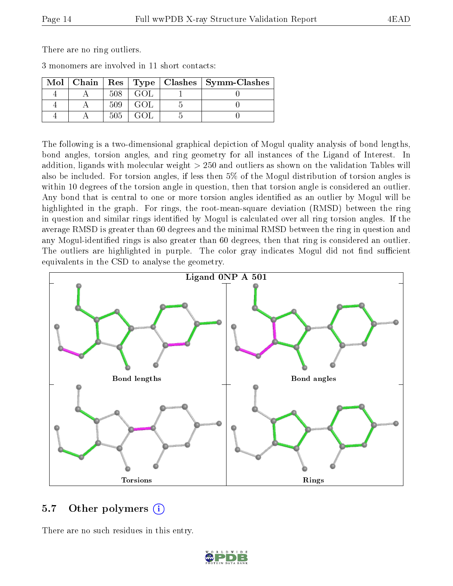There are no ring outliers.

| 3 monomers are involved in 11 short contacts: |  |
|-----------------------------------------------|--|
|-----------------------------------------------|--|

|  |     |  | Mol   Chain   Res   Type   Clashes   Symm-Clashes |
|--|-----|--|---------------------------------------------------|
|  | 508 |  |                                                   |
|  | 509 |  |                                                   |
|  | 505 |  |                                                   |

The following is a two-dimensional graphical depiction of Mogul quality analysis of bond lengths, bond angles, torsion angles, and ring geometry for all instances of the Ligand of Interest. In addition, ligands with molecular weight > 250 and outliers as shown on the validation Tables will also be included. For torsion angles, if less then 5% of the Mogul distribution of torsion angles is within 10 degrees of the torsion angle in question, then that torsion angle is considered an outlier. Any bond that is central to one or more torsion angles identified as an outlier by Mogul will be highlighted in the graph. For rings, the root-mean-square deviation (RMSD) between the ring in question and similar rings identified by Mogul is calculated over all ring torsion angles. If the average RMSD is greater than 60 degrees and the minimal RMSD between the ring in question and any Mogul-identified rings is also greater than 60 degrees, then that ring is considered an outlier. The outliers are highlighted in purple. The color gray indicates Mogul did not find sufficient equivalents in the CSD to analyse the geometry.



#### 5.7 [O](https://www.wwpdb.org/validation/2017/XrayValidationReportHelp#nonstandard_residues_and_ligands)ther polymers (i)

There are no such residues in this entry.

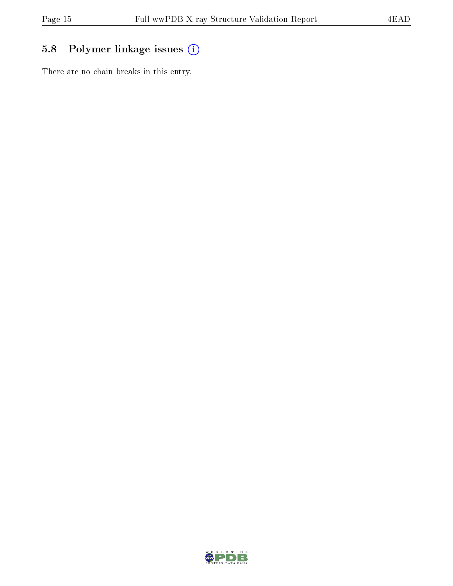### 5.8 Polymer linkage issues (i)

There are no chain breaks in this entry.

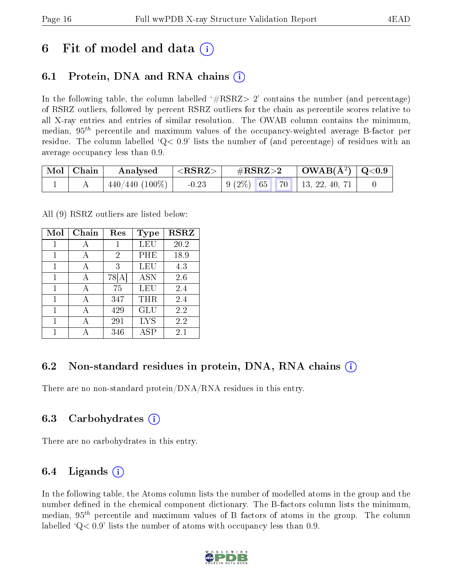## 6 Fit of model and data  $\left( \cdot \right)$

### 6.1 Protein, DNA and RNA chains (i)

In the following table, the column labelled  $#RSRZ>2'$  contains the number (and percentage) of RSRZ outliers, followed by percent RSRZ outliers for the chain as percentile scores relative to all X-ray entries and entries of similar resolution. The OWAB column contains the minimum, median,  $95<sup>th</sup>$  percentile and maximum values of the occupancy-weighted average B-factor per residue. The column labelled  $Q< 0.9$  lists the number of (and percentage) of residues with an average occupancy less than 0.9.

| $\mid$ Mol $\mid$ Chain | Analysed          | ${ <\hspace{-1.5pt}{\mathrm{RSRZ}} \hspace{-1.5pt}>}$ | $\#\text{RSRZ}{>}2$                                               | $\mid$ OWAB(Å <sup>2</sup> ) $\mid$ Q<0.9 |  |
|-------------------------|-------------------|-------------------------------------------------------|-------------------------------------------------------------------|-------------------------------------------|--|
|                         | $440/440 (100\%)$ | $-0.23$                                               | $\mid 9 \ (2\%) \ \mid 65 \ \mid 70 \ \mid 13, 22, 40, 71 \ \mid$ |                                           |  |

All (9) RSRZ outliers are listed below:

| Mol | Chain | Res   | Type       | <b>RSRZ</b> |
|-----|-------|-------|------------|-------------|
| 1   |       | 1     |            | 20.2        |
| 1   | A     | 2     | PHE        | 18.9        |
| 1   | А     | 3     | LEU        | 4.3         |
| 1   | А     | 78  A | <b>ASN</b> | 2.6         |
| 1   | А     | 75    | LEU        | 2.4         |
| 1   | А     | 347   | THR        | 2.4         |
| 1   | А     | 429   | <b>GLU</b> | 2.2         |
| 1   | А     | 291   | <b>LYS</b> | 2.2         |
|     |       | 346   | ASP        | $2.1\,$     |

### 6.2 Non-standard residues in protein, DNA, RNA chains  $(i)$

There are no non-standard protein/DNA/RNA residues in this entry.

#### 6.3 Carbohydrates (i)

There are no carbohydrates in this entry.

### 6.4 Ligands  $(i)$

In the following table, the Atoms column lists the number of modelled atoms in the group and the number defined in the chemical component dictionary. The B-factors column lists the minimum, median,  $95<sup>th</sup>$  percentile and maximum values of B factors of atoms in the group. The column labelled  $Q< 0.9$  lists the number of atoms with occupancy less than 0.9.